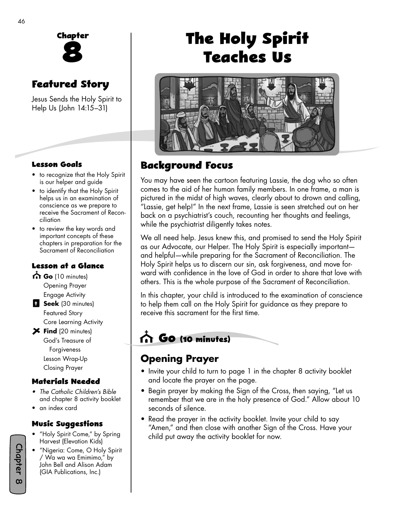

### **Featured Story**

Jesus Sends the Holy Spirit to Help Us (John 14:15–31)

#### **Lesson Goals**

- to recognize that the Holy Spirit is our helper and guide
- to identify that the Holy Spirit helps us in an examination of conscience as we prepare to receive the Sacrament of Reconciliation
- to review the key words and important concepts of these chapters in preparation for the Sacrament of Reconciliation

#### **Lesson at a Glance**

- Go (10 minutes) Opening Prayer Engage Activity
- **B** Seek (30 minutes) Featured Story Core Learning Activity
- **Find** (20 minutes) God's Treasure of Forgiveness Lesson Wrap-Up Closing Prayer

#### **Materials Needed**

- *The Catholic Children's Bible* and chapter 8 activity booklet
- an index card

#### **Music Su�gestions**

- "Holy Spirit Come," by Spring Harvest (Elevation Kids)
- "Nigeria: Come, O Holy Spirit / Wa wa wa Emimimo," by John Bell and Alison Adam (GIA Publications, Inc.)

# **The Holy Spirit Teaches Us**



### **Background Focus**

You may have seen the cartoon featuring Lassie, the dog who so often comes to the aid of her human family members. In one frame, a man is pictured in the midst of high waves, clearly about to drown and calling, "Lassie, get help!" In the next frame, Lassie is seen stretched out on her back on a psychiatrist's couch, recounting her thoughts and feelings, while the psychiatrist diligently takes notes.

We all need help. Jesus knew this, and promised to send the Holy Spirit as our Advocate, our Helper. The Holy Spirit is especially important and helpful—while preparing for the Sacrament of Reconciliation. The Holy Spirit helps us to discern our sin, ask forgiveness, and move forward with confidence in the love of God in order to share that love with others. This is the whole purpose of the Sacrament of Reconciliation.

In this chapter, your child is introduced to the examination of conscience to help them call on the Holy Spirit for guidance as they prepare to receive this sacrament for the first time.

### **Go (10 minutes)**

### **Opening Prayer**

- Invite your child to turn to page 1 in the chapter 8 activity booklet and locate the prayer on the page.
- Begin prayer by making the Sign of the Cross, then saying, "Let us remember that we are in the holy presence of God." Allow about 10 seconds of silence.
- Read the prayer in the activity booklet. Invite your child to say "Amen," and then close with another Sign of the Cross. Have your child put away the activity booklet for now.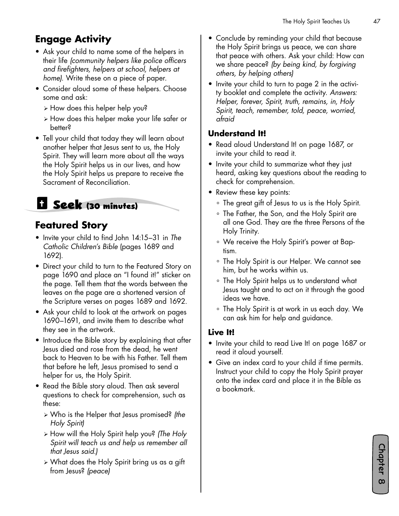### **Engage Activity**

- Ask your child to name some of the helpers in their life *(community helpers like police officers and firefighters, helpers at school, helpers at home)*. Write these on a piece of paper.
- Consider aloud some of these helpers. Choose some and ask:
	- ¾ How does this helper help you?
	- ¾ How does this helper make your life safer or better?
- Tell your child that today they will learn about another helper that Jesus sent to us, the Holy Spirit. They will learn more about all the ways the Holy Spirit helps us in our lives, and how the Holy Spirit helps us prepare to receive the Sacrament of Reconciliation.

# **Seek (30 minutes)**

### **Featured Story**

- Invite your child to find John 14:15–31 in *The Catholic Children's Bible* (pages 1689 and 1692).
- Direct your child to turn to the Featured Story on page 1690 and place an "I found it!" sticker on the page. Tell them that the words between the leaves on the page are a shortened version of the Scripture verses on pages 1689 and 1692.
- Ask your child to look at the artwork on pages 1690–1691, and invite them to describe what they see in the artwork.
- Introduce the Bible story by explaining that after Jesus died and rose from the dead, he went back to Heaven to be with his Father. Tell them that before he left, Jesus promised to send a helper for us, the Holy Spirit.
- Read the Bible story aloud. Then ask several questions to check for comprehension, such as these:
	- ¾ Who is the Helper that Jesus promised? *(the Holy Spirit)*
	- ¾ How will the Holy Spirit help you? *(The Holy Spirit will teach us and help us remember all that Jesus said.)*
	- ¾ What does the Holy Spirit bring us as a gift from Jesus? *(peace)*
- Conclude by reminding your child that because the Holy Spirit brings us peace, we can share that peace with others. Ask your child: How can we share peace? *(by being kind, by forgiving others, by helping others)*
- Invite your child to turn to page 2 in the activity booklet and complete the activity. *Answers: Helper, forever, Spirit, truth, remains, in, Holy Spirit, teach, remember, told, peace, worried, afraid*

#### **Understand It!**

- Read aloud Understand It! on page 1687, or invite your child to read it.
- Invite your child to summarize what they just heard, asking key questions about the reading to check for comprehension.
- Review these key points:
	- ° The great gift of Jesus to us is the Holy Spirit.
	- ° The Father, the Son, and the Holy Spirit are all one God. They are the three Persons of the Holy Trinity.
	- ° We receive the Holy Spirit's power at Baptism.
	- ° The Holy Spirit is our Helper. We cannot see him, but he works within us.
	- ° The Holy Spirit helps us to understand what Jesus taught and to act on it through the good ideas we have.
	- ° The Holy Spirit is at work in us each day. We can ask him for help and guidance.

#### **Live It!**

- Invite your child to read Live It! on page 1687 or read it aloud yourself.
- Give an index card to your child if time permits. Instruct your child to copy the Holy Spirit prayer onto the index card and place it in the Bible as a bookmark.

Chapter 8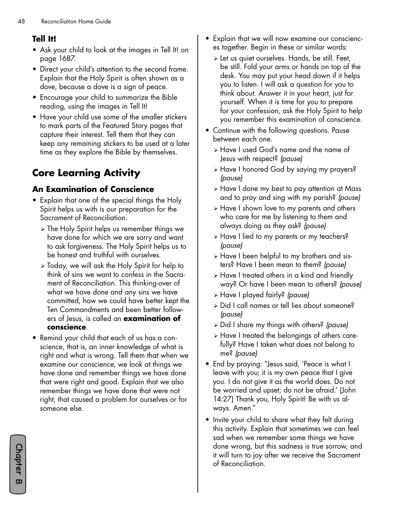#### **Tell It!**

- Ask your child to look at the images in Tell It! on page 1687.
- Direct your child's attention to the second frame. Explain that the Holy Spirit is often shown as a dove, because a dove is a sign of peace.
- Encourage your child to summarize the Bible reading, using the images in Tell It!
- Have your child use some of the smaller stickers to mark parts of the Featured Story pages that capture their interest. Tell them that they can keep any remaining stickers to be used at a later time as they explore the Bible by themselves.

### **Core Learning Activity**

#### **An Examination of Conscience**

- Explain that one of the special things the Holy Spirit helps us with is our preparation for the Sacrament of Reconciliation.
	- ¾ The Holy Spirit helps us remember things we have done for which we are sorry and want to ask forgiveness. The Holy Spirit helps us to be honest and truthful with ourselves.
	- ¾ Today, we will ask the Holy Spirit for help to think of sins we want to confess in the Sacrament of Reconciliation. This thinking-over of what we have done and any sins we have committed, how we could have better kept the Ten Commandments and been better followers of Jesus, is called an **examination of conscience**.
- Remind your child that each of us has a conscience, that is, an inner knowledge of what is right and what is wrong. Tell them that when we examine our conscience, we look at things we have done and remember things we have done that were right and good. Explain that we also remember things we have done that were not right, that caused a problem for ourselves or for someone else.
- Explain that we will now examine our consciences together. Begin in these or similar words:
	- ¾ Let us quiet ourselves. Hands, be still. Feet, be still. Fold your arms or hands on top of the desk. You may put your head down if it helps you to listen. I will ask a question for you to think about. Answer it in your heart, just for yourself. When it is time for you to prepare for your confession, ask the Holy Spirit to help you remember this examination of conscience.
- Continue with the following questions. Pause between each one.
	- ¾ Have I used God's name and the name of Jesus with respect? *(pause)*
	- ¾ Have I honored God by saying my prayers? *(pause)*
	- ¾ Have I done my best to pay attention at Mass and to pray and sing with my parish? *(pause)*
	- ¾ Have I shown love to my parents and others who care for me by listening to them and always doing as they ask? *(pause)*
	- ¾ Have I lied to my parents or my teachers? *(pause)*
	- ¾ Have I been helpful to my brothers and sisters? Have I been mean to them? *(pause)*
	- ¾ Have I treated others in a kind and friendly way? Or have I been mean to others? *(pause)*
	- ¾ Have I played fairly? *(pause)*
	- ¾ Did I call names or tell lies about someone? *(pause)*
	- ¾ Did I share my things with others? *(pause)*
	- ¾ Have I treated the belongings of others carefully? Have I taken what does not belong to me? *(pause)*
- End by praying: "Jesus said, 'Peace is what I leave with you; it is my own peace that I give you. I do not give it as the world does. Do not be worried and upset; do not be afraid.' (John 14:27) Thank you, Holy Spirit! Be with us always. Amen."
- Invite your child to share what they felt during this activity. Explain that sometimes we can feel sad when we remember some things we have done wrong, but this sadness is true sorrow, and it will turn to joy after we receive the Sacrament of Reconciliation.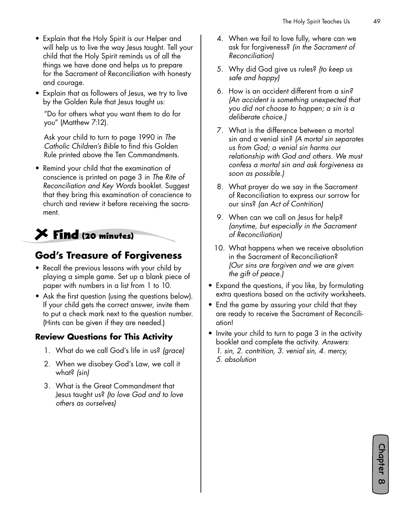- Explain that the Holy Spirit is our Helper and will help us to live the way Jesus taught. Tell your child that the Holy Spirit reminds us of all the things we have done and helps us to prepare for the Sacrament of Reconciliation with honesty and courage.
- Explain that as followers of Jesus, we try to live by the Golden Rule that Jesus taught us:

"Do for others what you want them to do for you" (Matthew 7:12).

Ask your child to turn to page 1990 in *The Catholic Children's Bible* to find this Golden Rule printed above the Ten Commandments.

• Remind your child that the examination of conscience is printed on page 3 in *The Rite of Reconciliation and Key Words* booklet. Suggest that they bring this examination of conscience to church and review it before receiving the sacrament.

# **Find (20 minutes)**

#### **God's Treasure of Forgiveness**

- Recall the previous lessons with your child by playing a simple game. Set up a blank piece of paper with numbers in a list from 1 to 10.
- Ask the first question (using the questions below). If your child gets the correct answer, invite them to put a check mark next to the question number. (Hints can be given if they are needed.)

#### **Review Questions for This Activity**

- 1. What do we call God's life in us? *(grace)*
- 2. When we disobey God's Law, we call it what? *(sin)*
- 3. What is the Great Commandment that Jesus taught us? *(to love God and to love others as ourselves)*
- 4. When we fail to love fully, where can we ask for forgiveness? *(in the Sacrament of Reconciliation)*
- 5. Why did God give us rules? *(to keep us safe and happy)*
- 6. How is an accident different from a sin*? (An accident is something unexpected that you did not choose to happen; a sin is a deliberate choice.)*
- 7. What is the difference between a mortal sin and a venial sin? *(A mortal sin separates us from God; a venial sin harms our relationship with God and others. We must confess a mortal sin and ask forgiveness as soon as possible.)*
- 8. What prayer do we say in the Sacrament of Reconciliation to express our sorrow for our sins? *(an Act of Contrition)*
- 9. When can we call on Jesus for help? *(anytime, but especially in the Sacrament of Reconciliation)*
- 10. What happens when we receive absolution in the Sacrament of Reconciliation? *(Our sins are forgiven and we are given the gift of peace.)*
- Expand the questions, if you like, by formulating extra questions based on the activity worksheets.
- End the game by assuring your child that they are ready to receive the Sacrament of Reconciliation!
- Invite your child to turn to page 3 in the activity booklet and complete the activity. *Answers: 1. sin, 2. contrition, 3. venial sin, 4. mercy,* 
	- *5. absolution*